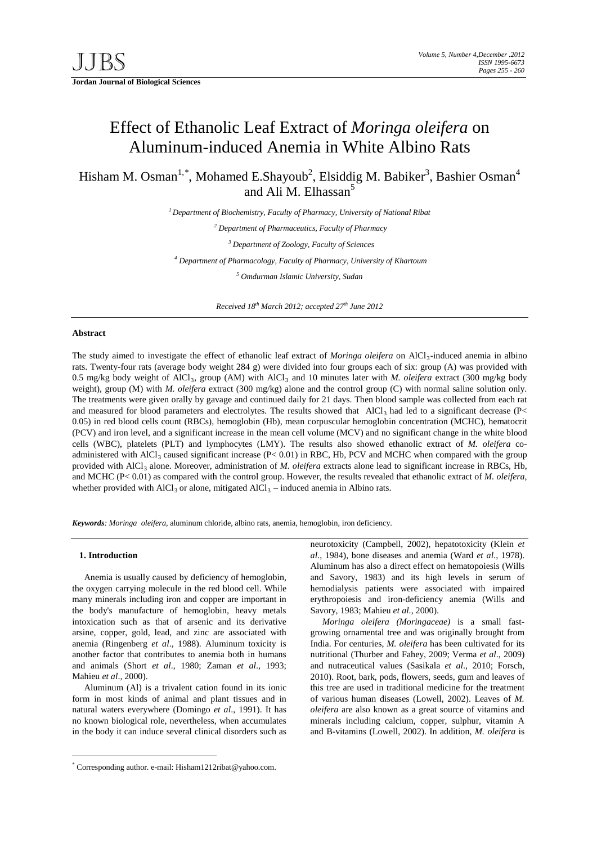# Effect of Ethanolic Leaf Extract of *Moringa oleifera* on Aluminum-induced Anemia in White Albino Rats

Hisham M. Osman<sup>1,[\\*](#page-0-0)</sup>, Mohamed E.Shayoub<sup>2</sup>, Elsiddig M. Babiker<sup>3</sup>, Bashier Osman<sup>4</sup> and Ali M. Elhassan<sup>5</sup>

*1 Department of Biochemistry, Faculty of Pharmacy, University of National Ribat*

*<sup>2</sup> Department of Pharmaceutics, Faculty of Pharmacy*

*<sup>3</sup> Department of Zoology, Faculty of Sciences*

*<sup>4</sup> Department of Pharmacology, Faculty of Pharmacy, University of Khartoum*

*<sup>5</sup> Omdurman Islamic University, Sudan*

*Received 18th March 2012; accepted 27th June 2012*

### **Abstract**

The study aimed to investigate the effect of ethanolic leaf extract of *Moringa oleifera* on AlCl<sub>3</sub>-induced anemia in albino rats. Twenty-four rats (average body weight 284 g) were divided into four groups each of six: group (A) was provided with 0.5 mg/kg body weight of AlCl3, group (AM) with AlCl3 and 10 minutes later with *M. oleifera* extract (300 mg/kg body weight), group (M) with *M. oleifera* extract (300 mg/kg) alone and the control group (C) with normal saline solution only. The treatments were given orally by gavage and continued daily for 21 days. Then blood sample was collected from each rat and measured for blood parameters and electrolytes. The results showed that  $AICI_3$  had led to a significant decrease (P< 0.05) in red blood cells count (RBCs), hemoglobin (Hb), mean corpuscular hemoglobin concentration (MCHC), hematocrit (PCV) and iron level, and a significant increase in the mean cell volume (MCV) and no significant change in the white blood cells (WBC), platelets (PLT) and lymphocytes (LMY). The results also showed ethanolic extract of *M. oleifera* coadministered with AlCl<sub>3</sub> caused significant increase (P< 0.01) in RBC, Hb, PCV and MCHC when compared with the group provided with AlCl<sub>3</sub> alone. Moreover, administration of *M. oleifera* extracts alone lead to significant increase in RBCs, Hb, and MCHC (P< 0.01) as compared with the control group. However, the results revealed that ethanolic extract of *M. oleifera*, whether provided with  $AICl<sub>3</sub>$  or alone, mitigated  $AICl<sub>3</sub>$  – induced anemia in Albino rats.

*Keywords: Moringa oleifera*, aluminum chloride, albino rats, anemia, hemoglobin, iron deficiency.

# **1. Introduction**

Anemia is usually caused by deficiency of hemoglobin, the oxygen carrying molecule in the red blood cell. While many minerals including iron and copper are important in the body's manufacture of hemoglobin, heavy metals intoxication such as that of arsenic and its derivative arsine, copper, gold, lead, and zinc are associated with anemia (Ringenberg *et al*., 1988). Aluminum toxicity is another factor that contributes to anemia both in humans and animals (Short *et al*., 1980; Zaman *et al*., 1993; Mahieu *et al*., 2000).

Aluminum (Al) is a trivalent cation found in its ionic form in most kinds of animal and plant tissues and in natural waters everywhere (Domingo *et al*., 1991). It has no known biological role, nevertheless, when accumulates in the body it can induce several clinical disorders such as

neurotoxicity (Campbell, 2002), hepatotoxicity (Klein *et al*., 1984), bone diseases and anemia (Ward *et al*., 1978). Aluminum has also a direct effect on hematopoiesis (Wills and Savory, 1983) and its high levels in serum of hemodialysis patients were associated with impaired erythropoiesis and iron-deficiency anemia (Wills and Savory, 1983; Mahieu *et al*., 2000).

*Moringa oleifera (Moringaceae)* is a small fastgrowing ornamental tree and was originally brought from India. For centuries, *M. oleifera* has been cultivated for its nutritional (Thurber and Fahey, 2009; Verma *et al*., 2009) and nutraceutical values (Sasikala *et al*., 2010; Forsch, 2010). Root, bark, pods, flowers, seeds, gum and leaves of this tree are used in traditional medicine for the treatment of various human diseases (Lowell, 2002). Leaves of *M. oleifera* are also known as a great source of vitamins and minerals including calcium, copper, sulphur, vitamin A and B-vitamins (Lowell, 2002). In addition, *M. oleifera* is

<span id="page-0-0"></span> <sup>\*</sup> Corresponding author. e-mail: Hisham1212ribat@yahoo.com.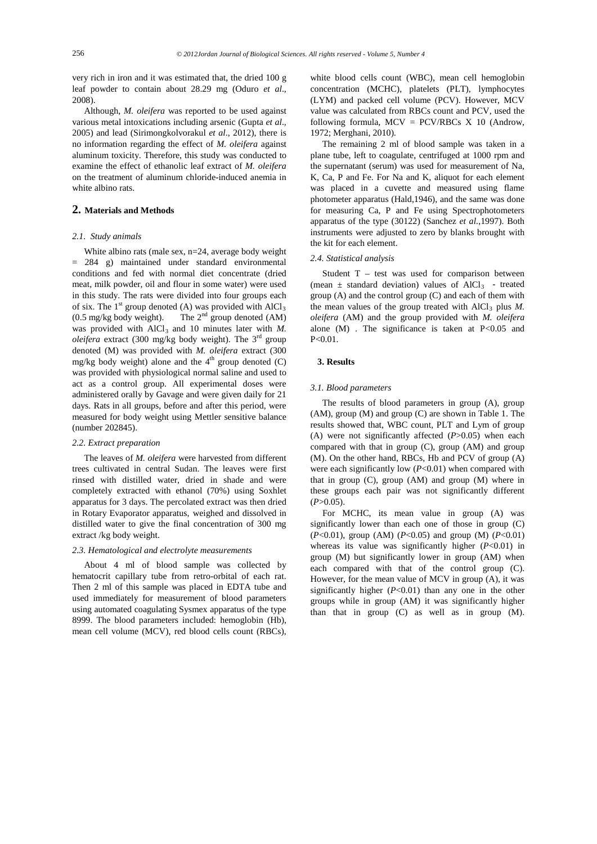very rich in iron and it was estimated that, the dried 100 g leaf powder to contain about 28.29 mg (Oduro *et al*., 2008).

Although, *M. oleifera* was reported to be used against various metal intoxications including arsenic (Gupta *et al*., 2005) and lead (Sirimongkolvorakul *et al*., 2012), there is no information regarding the effect of *M. oleifera* against aluminum toxicity. Therefore, this study was conducted to examine the effect of ethanolic leaf extract of *M. oleifera* on the treatment of aluminum chloride-induced anemia in white albino rats.

# **2. Materials and Methods**

# *2.1. Study animals*

White albino rats (male sex, n=24, average body weight = 284 g) maintained under standard environmental conditions and fed with normal diet concentrate (dried meat, milk powder, oil and flour in some water) were used in this study. The rats were divided into four groups each of six. The 1<sup>st</sup> group denoted (A) was provided with  $AICI_3$  $(0.5 \text{ mg/kg}$  body weight). The  $2^{\text{nd}}$  group denoted  $(AM)$ was provided with AlCl<sub>3</sub> and 10 minutes later with *M*. *oleifera* extract (300 mg/kg body weight). The 3rd group denoted (M) was provided with *M. oleifera* extract (300 mg/kg body weight) alone and the  $4<sup>th</sup>$  group denoted (C) was provided with physiological normal saline and used to act as a control group. All experimental doses were administered orally by Gavage and were given daily for 21 days. Rats in all groups, before and after this period, were measured for body weight using Mettler sensitive balance (number 202845).

### *2.2. Extract preparation*

The leaves of *M. oleifera* were harvested from different trees cultivated in central Sudan. The leaves were first rinsed with distilled water, dried in shade and were completely extracted with ethanol (70%) using Soxhlet apparatus for 3 days. The percolated extract was then dried in Rotary Evaporator apparatus, weighed and dissolved in distilled water to give the final concentration of 300 mg extract /kg body weight.

#### *2.3. Hematological and electrolyte measurements*

About 4 ml of blood sample was collected by hematocrit capillary tube from retro-orbital of each rat. Then 2 ml of this sample was placed in EDTA tube and used immediately for measurement of blood parameters using automated coagulating Sysmex apparatus of the type 8999. The blood parameters included: hemoglobin (Hb), mean cell volume (MCV), red blood cells count (RBCs),

white blood cells count (WBC), mean cell hemoglobin concentration (MCHC), platelets (PLT), lymphocytes (LYM) and packed cell volume (PCV). However, MCV value was calculated from RBCs count and PCV, used the following formula,  $MCV = PCV/RBCs$  X 10 (Androw, 1972; Merghani, 2010).

The remaining 2 ml of blood sample was taken in a plane tube, left to coagulate, centrifuged at 1000 rpm and the supernatant (serum) was used for measurement of Na, K, Ca, P and Fe. For Na and K, aliquot for each element was placed in a cuvette and measured using flame photometer apparatus (Hald,1946), and the same was done for measuring Ca, P and Fe using Spectrophotometers apparatus of the type (30122) (Sanchez *et al.*,1997). Both instruments were adjusted to zero by blanks brought with the kit for each element.

# *2.4. Statistical analysis*

Student T – test was used for comparison between (mean  $\pm$  standard deviation) values of AlCl<sub>3</sub> - treated group (A) and the control group (C) and each of them with the mean values of the group treated with  $AICI_3$  plus *M*. *oleifera* (AM) and the group provided with *M. oleifera* alone  $(M)$ . The significance is taken at P<0.05 and  $P < 0.01$ 

#### **3. Results**

### *3.1. Blood parameters*

The results of blood parameters in group (A), group (AM), group (M) and group (C) are shown in Table 1. The results showed that, WBC count, PLT and Lym of group (A) were not significantly affected (*P*>0.05) when each compared with that in group (C), group (AM) and group (M). On the other hand, RBCs, Hb and PCV of group (A) were each significantly low (*P*<0.01) when compared with that in group (C), group (AM) and group (M) where in these groups each pair was not significantly different  $(P>0.05)$ .

For MCHC, its mean value in group (A) was significantly lower than each one of those in group (C) (*P*<0.01), group (AM) (*P*<0.05) and group (M) (*P*<0.01) whereas its value was significantly higher (*P*<0.01) in group (M) but significantly lower in group (AM) when each compared with that of the control group (C). However, for the mean value of MCV in group (A), it was significantly higher  $(P<0.01)$  than any one in the other groups while in group (AM) it was significantly higher than that in group (C) as well as in group (M).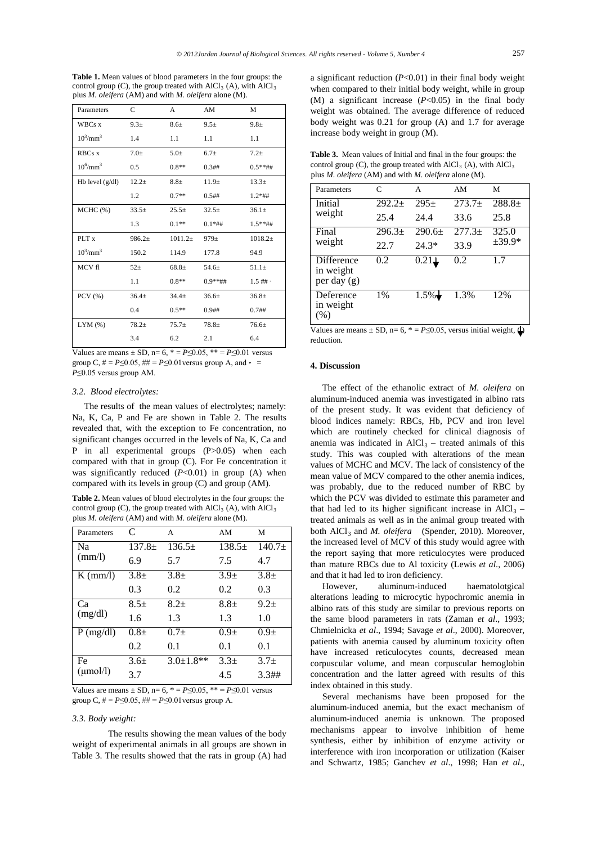**Table 1.** Mean values of blood parameters in the four groups: the control group (C), the group treated with  $AICl<sub>3</sub>$  (A), with  $AICl<sub>3</sub>$ plus *M. oleifera* (AM) and with *M. oleifera* alone (M).

| Parameters                | C        | A          | AM               | M                |
|---------------------------|----------|------------|------------------|------------------|
| WBCs x                    | $9.3 +$  | $8.6+$     | $9.5+$           | $9.8+$           |
| $10^3/\text{mm}^3$        | 1.4      | 1.1        | 1.1              | 1.1              |
| RBCs x                    | $7.0\pm$ | $5.0\pm$   | 6.7 <sub>±</sub> | $7.2+$           |
| $10^{6}$ /mm <sup>3</sup> | 0.5      | $0.8**$    | 0.3##            | $0.5***$ ##      |
| Hb level $(g/dl)$         | $12.2+$  | $8.8+$     | $11.9+$          | $13.3+$          |
|                           | 1.2      | $0.7**$    | 0.5##            | $1.2*$ ##        |
| MCHC (%)                  | $33.5+$  | $25.5\pm$  | $32.5+$          | $36.1 \pm$       |
|                           | 1.3      | $0.1**$    | $0.1*$ ##        | $1.5***$ ##      |
| PLT <sub>x</sub>          | $986.2+$ | $1011.2+$  | 979 <sub>±</sub> | $1018.2+$        |
| $10^3/\text{mm}^3$        | 150.2    | 114.9      | 177.8            | 94.9             |
| MCV fl                    | $52+$    | $68.8+$    | $54.6+$          | $51.1\pm$        |
|                           | 1.1      | $0.8**$    | $0.9***$ ##      | $1.5$ ## $\cdot$ |
| PCV (%)                   | $36.4+$  | $34.4 \pm$ | 36.6±            | $36.8+$          |
|                           | 0.4      | $0.5**$    | $0.9$ ##         | $0.7#$ #         |
| LYM(%)                    | $78.2+$  | $75.7+$    | $78.8 +$         | 76.6±            |
|                           | 3.4      | 6.2        | 2.1              | 6.4              |

Values are means  $\pm$  SD, n= 6,  $* = P \le 0.05$ ,  $** = P \le 0.01$  versus group C,  $# = P \le 0.05$ ,  $# = P \le 0.01$  versus group A, and  $\cdot =$ *P*≤0.05 versus group AM.

# *3.2. Blood electrolytes:*

The results of the mean values of electrolytes; namely: Na, K, Ca, P and Fe are shown in Table 2. The results revealed that, with the exception to Fe concentration, no significant changes occurred in the levels of Na, K, Ca and P in all experimental groups (P>0.05) when each compared with that in group (C). For Fe concentration it was significantly reduced  $(P<0.01)$  in group  $(A)$  when compared with its levels in group (C) and group (AM).

**Table 2.** Mean values of blood electrolytes in the four groups: the control group (C), the group treated with  $AICl<sub>3</sub>$  (A), with  $AICl<sub>3</sub>$ plus *M. oleifera* (AM) and with *M. oleifera* alone (M).

| Parameters                        | C        | A               | AM       | M        |
|-----------------------------------|----------|-----------------|----------|----------|
| N <sub>a</sub><br>$\text{(mm/l)}$ | $137.8+$ | $136.5+$        | $138.5+$ | $140.7+$ |
|                                   | 6.9      | 5.7             | 7.5      | 4.7      |
| $K \, (mm/l)$                     | $3.8+$   | $3.8+$          | $3.9+$   | $3.8+$   |
|                                   | 0.3      | 0.2             | 0.2      | 0.3      |
| Ca<br>(mg/dl)                     | $8.5+$   | $8.2+$          | $8.8 +$  | $9.2+$   |
|                                   | 1.6      | 1.3             | 1.3      | 1.0      |
| $P$ (mg/dl)                       | $0.8 +$  | $0.7 +$         | $0.9+$   | $0.9+$   |
|                                   | 0.2      | 0.1             | 0.1      | 0.1      |
| Fe<br>$(\mu \text{mol/l})$        | $3.6+$   | $3.0 \pm 1.8**$ | $3.3+$   | $3.7+$   |
|                                   | 3.7      |                 | 4.5      | 3.3##    |

Values are means  $\pm$  SD, n= 6,  $* = P \le 0.05$ ,  $* = P \le 0.01$  versus group C,  $# = P \le 0.05$ ,  $# = P \le 0.01$  versus group A.

#### *3.3. Body weight:*

The results showing the mean values of the body weight of experimental animals in all groups are shown in Table 3. The results showed that the rats in group (A) had

a significant reduction (*P*<0.01) in their final body weight when compared to their initial body weight, while in group (M) a significant increase (*P*<0.05) in the final body weight was obtained. The average difference of reduced body weight was 0.21 for group (A) and 1.7 for average increase body weight in group (M).

**Table 3.** Mean values of Initial and final in the four groups: the control group (C), the group treated with  $AICl<sub>3</sub>$  (A), with  $AICl<sub>3</sub>$ plus *M. oleifera* (AM) and with *M. oleifera* alone (M).

| Parameters                                    | $\mathsf{C}$ | А        | AM       | M                 |
|-----------------------------------------------|--------------|----------|----------|-------------------|
| Initial                                       | $292.2+$     | $295+$   | $273.7+$ | $288.8+$          |
| weight                                        | 25.4         | 24.4     | 33.6     | 25.8              |
| Final                                         | $296.3+$     | $290.6+$ | $277.3+$ | 325.0<br>$±39.9*$ |
| weight                                        | 22.7         | $24.3*$  | 33.9     |                   |
| <b>Difference</b><br>in weight<br>per day (g) | 0.2          | 0.21     | 0.2      | 17                |
| Deference<br>in weight<br>(%)                 | 1%           | 1.5%     | 1.3%     | 12%               |

Values are means  $\pm$  SD, n= 6,  $* = P \le 0.05$ , versus initial weight,  $\bigoplus$ reduction.

# **4. Discussion**

The effect of the ethanolic extract of *M. oleifera* on aluminum-induced anemia was investigated in albino rats of the present study. It was evident that deficiency of blood indices namely: RBCs, Hb, PCV and iron level which are routinely checked for clinical diagnosis of anemia was indicated in  $AICI_3$  – treated animals of this study. This was coupled with alterations of the mean values of MCHC and MCV. The lack of consistency of the mean value of MCV compared to the other anemia indices, was probably, due to the reduced number of RBC by which the PCV was divided to estimate this parameter and that had led to its higher significant increase in  $AICI_3$  – treated animals as well as in the animal group treated with both AlCl<sub>3</sub> and *M. oleifera* (Spender, 2010). Moreover, the increased level of MCV of this study would agree with the report saying that more reticulocytes were produced than mature RBCs due to Al toxicity (Lewis *et al*., 2006) and that it had led to iron deficiency.

However, aluminum-induced haematolotgical alterations leading to microcytic hypochromic anemia in albino rats of this study are similar to previous reports on the same blood parameters in rats (Zaman *et al*., 1993; Chmielnicka *et al*., 1994; Savage *et al*., 2000). Moreover, patients with anemia caused by aluminum toxicity often have increased reticulocytes counts, decreased mean corpuscular volume, and mean corpuscular hemoglobin concentration and the latter agreed with results of this index obtained in this study.

Several mechanisms have been proposed for the aluminum-induced anemia, but the exact mechanism of aluminum-induced anemia is unknown. The proposed mechanisms appear to involve inhibition of heme synthesis, either by inhibition of enzyme activity or interference with iron incorporation or utilization (Kaiser and Schwartz, 1985; Ganchev *et al*., 1998; Han *et al*.,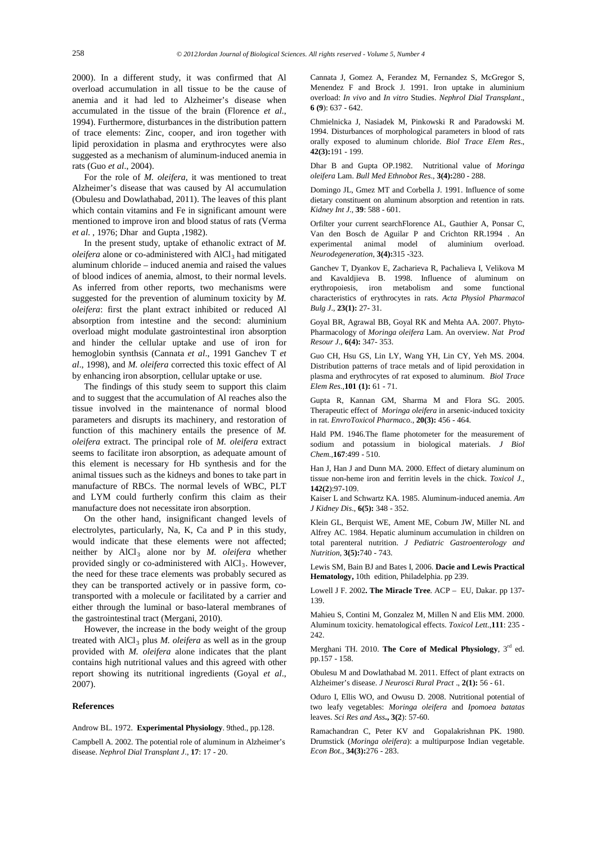2000). In a different study, it was confirmed that Al overload accumulation in all tissue to be the cause of anemia and it had led to Alzheimer's disease when accumulated in the tissue of the brain (Florence *et al.*, 1994). Furthermore, disturbances in the distribution pattern of trace elements: Zinc, cooper, and iron together with lipid peroxidation in plasma and erythrocytes were also suggested as a mechanism of aluminum-induced anemia in rats (Guo *et al*., 2004).

For the role of *M. oleifera*, it was mentioned to treat Alzheimer's disease that was caused by Al accumulation (Obulesu and Dowlathabad, 2011). The leaves of this plant which contain vitamins and Fe in significant amount were mentioned to improve iron and blood status of rats (Verma *et al*. , 1976; Dhar and Gupta ,1982).

In the present study, uptake of ethanolic extract of *M. oleifera* alone or co-administered with AlCl<sub>3</sub> had mitigated aluminum chloride – induced anemia and raised the values of blood indices of anemia, almost, to their normal levels. As inferred from other reports, two mechanisms were suggested for the prevention of aluminum toxicity by *M. oleifera*: first the plant extract inhibited or reduced Al absorption from intestine and the second: aluminium overload might modulate gastrointestinal iron absorption and hinder the cellular uptake and use of iron for hemoglobin synthsis [\(Cannata](http://ndt.oxfordjournals.org/search?author1=J.+B.+Cannata&sortspec=date&submit=Submit) *et al*., 1991 Ganchev T *et al*., 1998), and *M. oleifera* corrected this toxic effect of Al by enhancing iron absorption, cellular uptake or use.

The findings of this study seem to support this claim and to suggest that the accumulation of Al reaches also the tissue involved in the maintenance of normal blood parameters and disrupts its machinery, and restoration of function of this machinery entails the presence of *M. oleifera* extract. The principal role of *M. oleifera* extract seems to facilitate iron absorption, as adequate amount of this element is necessary for Hb synthesis and for the animal tissues such as the kidneys and bones to take part in manufacture of RBCs. The normal levels of WBC, PLT and LYM could furtherly confirm this claim as their manufacture does not necessitate iron absorption.

On the other hand, insignificant changed levels of electrolytes, particularly, Na, K, Ca and P in this study, would indicate that these elements were not affected; neither by AlCl<sub>3</sub> alone nor by *M. oleifera* whether provided singly or co-administered with AlCl<sub>3</sub>. However, the need for these trace elements was probably secured as they can be transported actively or in passive form, cotransported with a molecule or facilitated by a carrier and either through the luminal or baso-lateral membranes of the gastrointestinal tract (Mergani, 2010).

However, the increase in the body weight of the group treated with AlCl<sub>3</sub> plus *M. oleifera* as well as in the group provided with *M. oleifera* alone indicates that the plant contains high nutritional values and this agreed with other report showing its nutritional ingredients (Goyal *et al*., 2007).

#### **References**

Androw BL. 1972. **Experimental Physiology**. 9thed., pp.128.

Campbell A. 2002. The potential role of aluminum in Alzheimer's disease. *Nephrol Dial Transplant J*., **17**: 17 - 20.

Cannata J, Gomez A, Ferandez M, Fernandez S, McGregor S, Menendez F and Brock J. 1991. Iron uptake in aluminium overload: *In vivo* and *In vitro* Studies. *Nephrol Dial Transplant*., **6 (9**): 637 - 642.

Chmielnicka J, Nasiadek M, Pinkowski R and Paradowski M. 1994. Disturbances of morphological parameters in blood of rats orally exposed to aluminum chloride. *Biol Trace Elem Res*., **42(3):**191 - 199.

Dhar B and Gupta OP.1982. Nutritional value of *Moringa oleifera* Lam. *Bull Med Ethnobot Res*., **3(4):**280 - 288.

Domingo JL, Gmez MT and Corbella J. 1991. Influence of some dietary constituent on aluminum absorption and retention in rats. *Kidney Int J.,* **39**: 588 - 601.

Orfilter your current searc[hFlorence AL,](http://www.ncbi.nlm.nih.gov/pubmed?term=Florence%20AL%5BAuthor%5D&cauthor=true&cauthor_uid=7842302) [Gauthier A,](http://www.ncbi.nlm.nih.gov/pubmed?term=Gauthier%20A%5BAuthor%5D&cauthor=true&cauthor_uid=7842302) [Ponsar C,](http://www.ncbi.nlm.nih.gov/pubmed?term=Ponsar%20C%5BAuthor%5D&cauthor=true&cauthor_uid=7842302)  [Van den Bosch de Aguilar P](http://www.ncbi.nlm.nih.gov/pubmed?term=Van%20den%20Bosch%20de%20Aguilar%20P%5BAuthor%5D&cauthor=true&cauthor_uid=7842302) and [Crichton RR.](http://www.ncbi.nlm.nih.gov/pubmed?term=Crichton%20RR%5BAuthor%5D&cauthor=true&cauthor_uid=7842302)1994 . An experimental animal model of aluminium overload. *[Neurodegeneration](http://www.ncbi.nlm.nih.gov/pubmed/7842302)*, **3(4):**315 -323.

Ganchev T, Dyankov E, Zacharieva R, Pachalieva I, Velikova M and Kavaldjieva B. 1998. Influence of aluminum on erythropoiesis, iron metabolism and some functional characteristics of erythrocytes in rats. *Acta Physiol Pharmacol Bulg J*., **23(1):** 27- 31.

Goyal BR, Agrawal BB, Goyal RK and Mehta AA. 2007. Phyto-Pharmacology of *Moringa oleifera* Lam. An overview. *Nat Prod Resour J.,* **6(4):** 347- 353.

Guo CH, Hsu GS, Lin LY, Wang YH, Lin CY, Yeh MS. 2004. Distribution patterns of trace metals and of lipid peroxidation in plasma and erythrocytes of rat exposed to aluminum. *Biol Trace Elem Res.,***101 (1):** 61 - 71.

Gupta R, Kannan GM, Sharma M and Flora SG. 2005. Therapeutic effect of *Moringa oleifera* in arsenic-induced toxicity in rat. *EnvroToxicol Pharmaco*., **20(3):** 456 - 464.

Hald PM. 1946.The flame photometer for the measurement of sodium and potassium in biological materials. *J Biol Chem*.,**167**:499 - 510.

Han J, Han J and Dunn MA. 2000. Effect of dietary aluminum on tissue non-heme iron and ferritin levels in the chick. *Toxicol J.,* **142(2**):97-109.

Kaiser L and Schwartz KA. 1985. Aluminum-induced anemia. *Am J Kidney Dis*., **6(5):** 348 - 352.

Klein GL, Berquist WE, Ament ME, Coburn JW, Miller NL and Alfrey AC. 1984. Hepatic aluminum accumulation in children on total parenteral nutrition. *J Pediatric Gastroenterology and Nutrition,* **3(5):**740 - 743.

Lewis SM, Bain BJ and Bates I, 2006. **Dacie and Lewis Practical Hematology,** 10th edition, Philadelphia. pp 239.

Lowell J F. 2002**. The Miracle Tree**. ACP – EU, Dakar. pp 137- 139.

Mahieu S, Contini M, Gonzalez M, Millen N and Elis MM. 2000. Aluminum toxicity. hematological effects. *Toxicol Lett*.,**111**: 235 -  $242.$ 

Merghani TH. 2010. **The Core of Medical Physiology**, 3rd ed. pp.157 - 158.

Obulesu M and Dowlathabad M. 2011. Effect of plant extracts on Alzheimer's disease. *J Neurosci Rural Pract* ., **2(1):** 56 - 61.

Oduro I, Ellis WO, and Owusu D. 2008. Nutritional potential of two leafy vegetables: *Moringa oleifera* and *Ipomoea batatas* leaves. *Sci Res and Ass***., 3(2**): 57-60.

Ramachandran C, Peter KV and Gopalakrishnan PK. 1980. Drumstick (*Moringa oleifera*): a multipurpose Indian vegetable. *Econ Bot*., **34(3):**276 - 283.